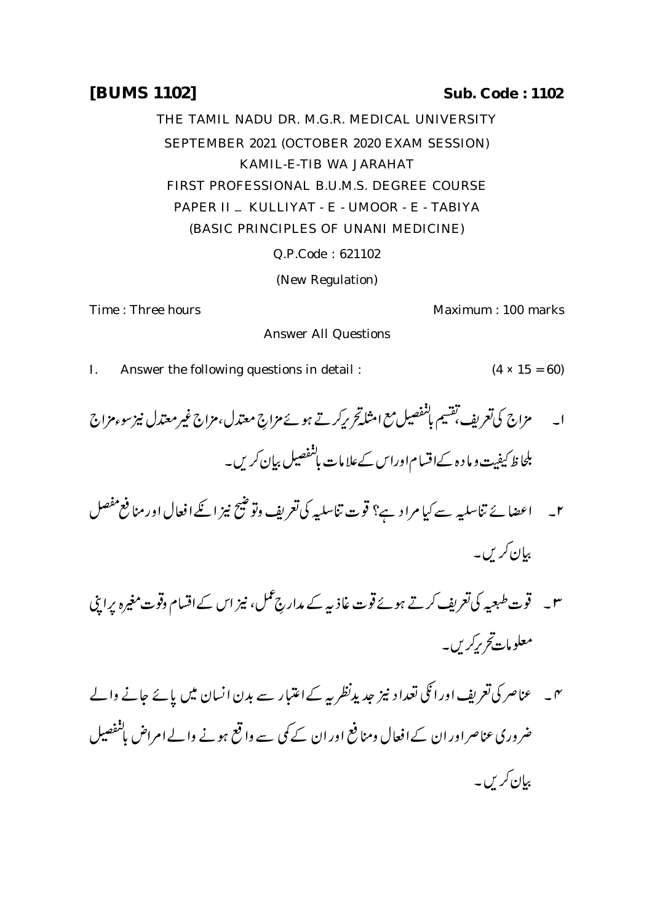## **[BUMS 1102] Sub. Code : 1102**

THE TAMIL NADU DR. M.G.R. MEDICAL UNIVERSITY SEPTEMBER 2021 (OCTOBER 2020 EXAM SESSION) KAMIL-E-TIB WA JARAHAT FIRST PROFESSIONAL B.U.M.S. DEGREE COURSE PAPER II \_ KULLIYAT - E - UMOOR - E - TABIYA (BASIC PRINCIPLES OF UNANI MEDICINE)

Q.P.Code : 621102

(New Regulation)

Time : Three hours **Maximum** : 100 marks

I. Answer the following questions in detail :  $(4 \times 15 = 60)$ 

Answer All Questions

- ا۔ مزاج کی تعریف تقسیم باشفصیل مع امثله تحریرکرتے ہوئے مزاج معتدل،مزاج غیرمعتدل نیز سوءمزاج بلحاظ کیفیت و ما د ہ کےاقسام اوراس کےعلامات ہانفصیل بیان کریں۔
- ۲۔ اعضا نے تناسلیہ سے کیا مرا د ہے؟ قوت تناسلیہ کی تعریف وتوضیح نیز انکےافعال اور منافع مفصل بیان کریں۔
- ۳۔ قوت طبعیہ کی تعریف کرتے ہوئے قوت غاذیہ کے مدارج عمل، نیز اس کے اقسام وقوت مغیرہ پراپنی معلومات تح برکریں۔
- <sup>س</sup> ۔ عناصر کی تعریف اور اٹکی تعداد نیز جدید *نظر بی*ے اعتبار سے بدن انسان میں پائے جانے والے ضروری عناصر اور ان کے افعال ومنافع اور ان کے کمی سے واقع ہونے والے امراض باشفصیل بیان کریں۔